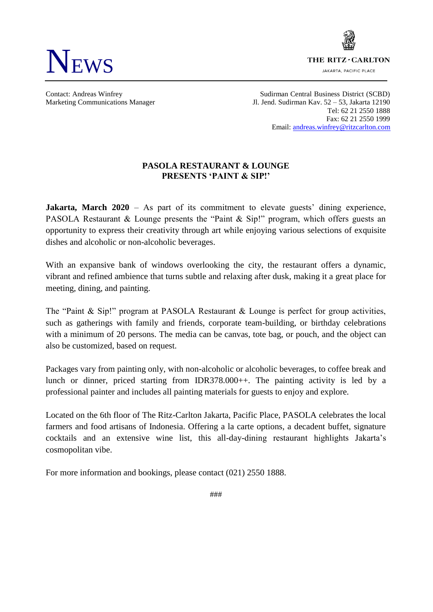

THE RITZ - CARLTON

JAKARTA, PACIFIC PLACE

Contact: Andreas Winfrey Sudirman Central Business District (SCBD) Marketing Communications Manager Jl. Jend. Sudirman Kav. 52 – 53, Jakarta 12190 Tel: 62 21 2550 1888 Fax: 62 21 2550 1999 Email[: andreas.winfrey@ritzcarlton.com](mailto:andreas.winfrey@ritzcarlton.com)

## **PASOLA RESTAURANT & LOUNGE PRESENTS 'PAINT & SIP!'**

**Jakarta, March 2020** – As part of its commitment to elevate guests' dining experience, PASOLA Restaurant & Lounge presents the "Paint & Sip!" program, which offers guests an opportunity to express their creativity through art while enjoying various selections of exquisite dishes and alcoholic or non-alcoholic beverages.

With an expansive bank of windows overlooking the city, the restaurant offers a dynamic, vibrant and refined ambience that turns subtle and relaxing after dusk, making it a great place for meeting, dining, and painting.

The "Paint & Sip!" program at PASOLA Restaurant & Lounge is perfect for group activities, such as gatherings with family and friends, corporate team-building, or birthday celebrations with a minimum of 20 persons. The media can be canvas, tote bag, or pouch, and the object can also be customized, based on request.

Packages vary from painting only, with non-alcoholic or alcoholic beverages, to coffee break and lunch or dinner, priced starting from IDR378.000++. The painting activity is led by a professional painter and includes all painting materials for guests to enjoy and explore.

Located on the 6th floor of The Ritz-Carlton Jakarta, Pacific Place, PASOLA celebrates the local farmers and food artisans of Indonesia. Offering a la carte options, a decadent buffet, signature cocktails and an extensive wine list, this all-day-dining restaurant highlights Jakarta's cosmopolitan vibe.

For more information and bookings, please contact (021) 2550 1888.